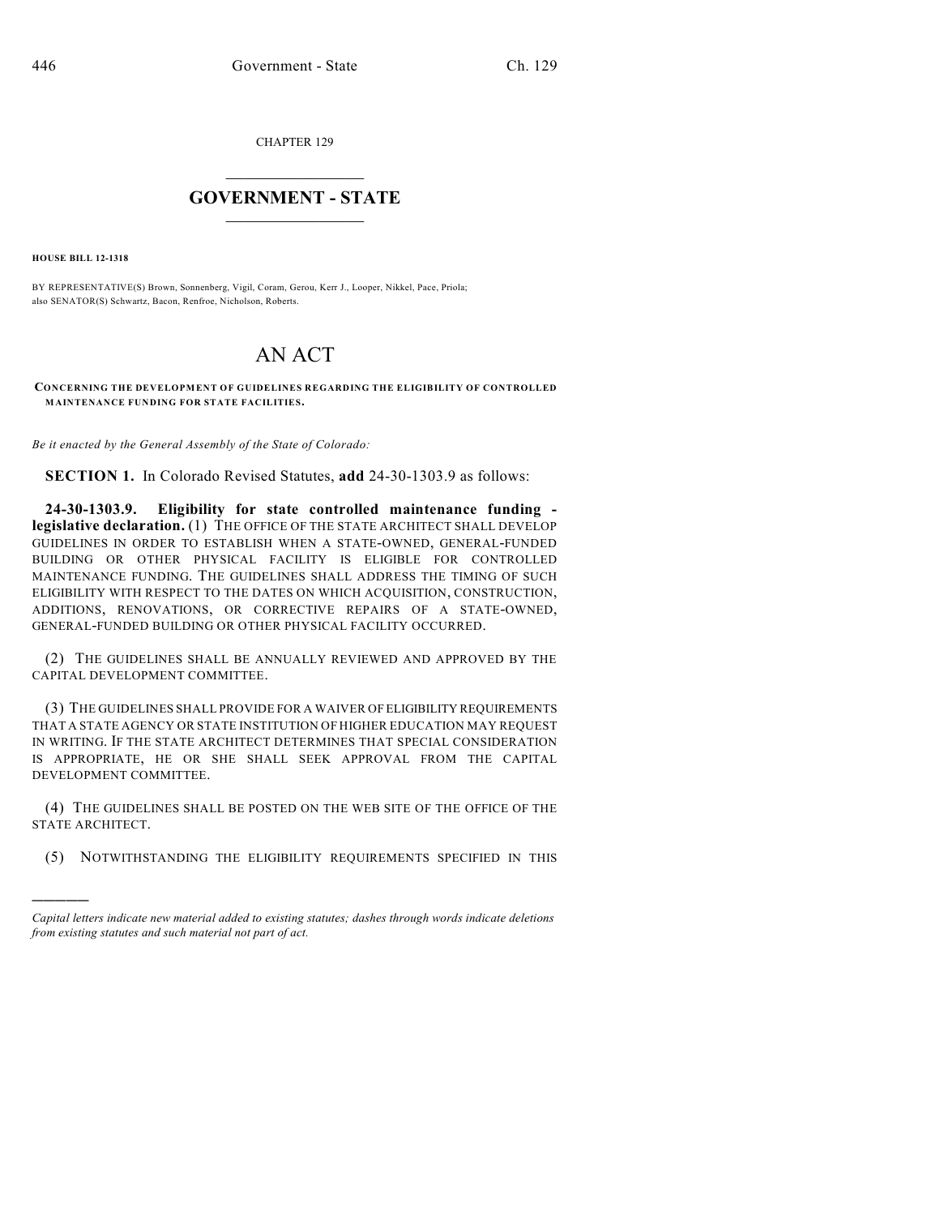CHAPTER 129

## $\overline{\phantom{a}}$  . The set of the set of the set of the set of the set of the set of the set of the set of the set of the set of the set of the set of the set of the set of the set of the set of the set of the set of the set o **GOVERNMENT - STATE**  $\_$

**HOUSE BILL 12-1318**

)))))

BY REPRESENTATIVE(S) Brown, Sonnenberg, Vigil, Coram, Gerou, Kerr J., Looper, Nikkel, Pace, Priola; also SENATOR(S) Schwartz, Bacon, Renfroe, Nicholson, Roberts.

## AN ACT

## **CONCERNING THE DEVELOPMENT OF GUIDELINES REGARDING THE ELIGIBILITY OF CONTROLLED MAINTENANCE FUNDING FOR STATE FACILITIES.**

*Be it enacted by the General Assembly of the State of Colorado:*

**SECTION 1.** In Colorado Revised Statutes, **add** 24-30-1303.9 as follows:

**24-30-1303.9. Eligibility for state controlled maintenance funding legislative declaration.** (1) THE OFFICE OF THE STATE ARCHITECT SHALL DEVELOP GUIDELINES IN ORDER TO ESTABLISH WHEN A STATE-OWNED, GENERAL-FUNDED BUILDING OR OTHER PHYSICAL FACILITY IS ELIGIBLE FOR CONTROLLED MAINTENANCE FUNDING. THE GUIDELINES SHALL ADDRESS THE TIMING OF SUCH ELIGIBILITY WITH RESPECT TO THE DATES ON WHICH ACQUISITION, CONSTRUCTION, ADDITIONS, RENOVATIONS, OR CORRECTIVE REPAIRS OF A STATE-OWNED, GENERAL-FUNDED BUILDING OR OTHER PHYSICAL FACILITY OCCURRED.

(2) THE GUIDELINES SHALL BE ANNUALLY REVIEWED AND APPROVED BY THE CAPITAL DEVELOPMENT COMMITTEE.

(3) THE GUIDELINES SHALL PROVIDE FOR A WAIVER OF ELIGIBILITY REQUIREMENTS THAT A STATE AGENCY OR STATE INSTITUTION OF HIGHER EDUCATION MAY REQUEST IN WRITING. IF THE STATE ARCHITECT DETERMINES THAT SPECIAL CONSIDERATION IS APPROPRIATE, HE OR SHE SHALL SEEK APPROVAL FROM THE CAPITAL DEVELOPMENT COMMITTEE.

(4) THE GUIDELINES SHALL BE POSTED ON THE WEB SITE OF THE OFFICE OF THE STATE ARCHITECT.

(5) NOTWITHSTANDING THE ELIGIBILITY REQUIREMENTS SPECIFIED IN THIS

*Capital letters indicate new material added to existing statutes; dashes through words indicate deletions from existing statutes and such material not part of act.*